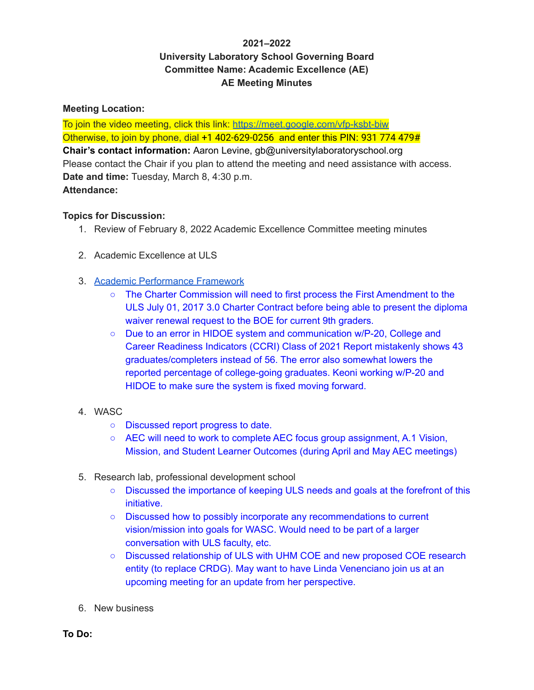# **2021–2022 University Laboratory School Governing Board Committee Name: Academic Excellence (AE) AE Meeting Minutes**

### **Meeting Location:**

To join the video meeting, click this link: <https://meet.google.com/vfp-ksbt-biw> Otherwise, to join by phone, dial +1 402-629-0256 and enter this PIN: 931 774 479# **Chair's contact information:** Aaron Levine, gb@universitylaboratoryschool.org Please contact the Chair if you plan to attend the meeting and need assistance with access. **Date and time:** Tuesday, March 8, 4:30 p.m. **Attendance:**

#### **Topics for Discussion:**

- 1. Review of February 8, 2022 Academic Excellence Committee meeting minutes
- 2. Academic Excellence at ULS
- 3. Academic [Performance](https://www.chartercommission.hawaii.gov/draft-performance-framework) Framework
	- The Charter Commission will need to first process the First Amendment to the ULS July 01, 2017 3.0 Charter Contract before being able to present the diploma waiver renewal request to the BOE for current 9th graders.
	- Due to an error in HIDOE system and communication w/P-20, College and Career Readiness Indicators (CCRI) Class of 2021 Report mistakenly shows 43 graduates/completers instead of 56. The error also somewhat lowers the reported percentage of college-going graduates. Keoni working w/P-20 and HIDOE to make sure the system is fixed moving forward.
- 4. WASC
	- Discussed report progress to date.
	- AEC will need to work to complete AEC focus group assignment, A.1 Vision, Mission, and Student Learner Outcomes (during April and May AEC meetings)
- 5. Research lab, professional development school
	- Discussed the importance of keeping ULS needs and goals at the forefront of this initiative.
	- Discussed how to possibly incorporate any recommendations to current vision/mission into goals for WASC. Would need to be part of a larger conversation with ULS faculty, etc.
	- Discussed relationship of ULS with UHM COE and new proposed COE research entity (to replace CRDG). May want to have Linda Venenciano join us at an upcoming meeting for an update from her perspective.
- 6. New business

**To Do:**